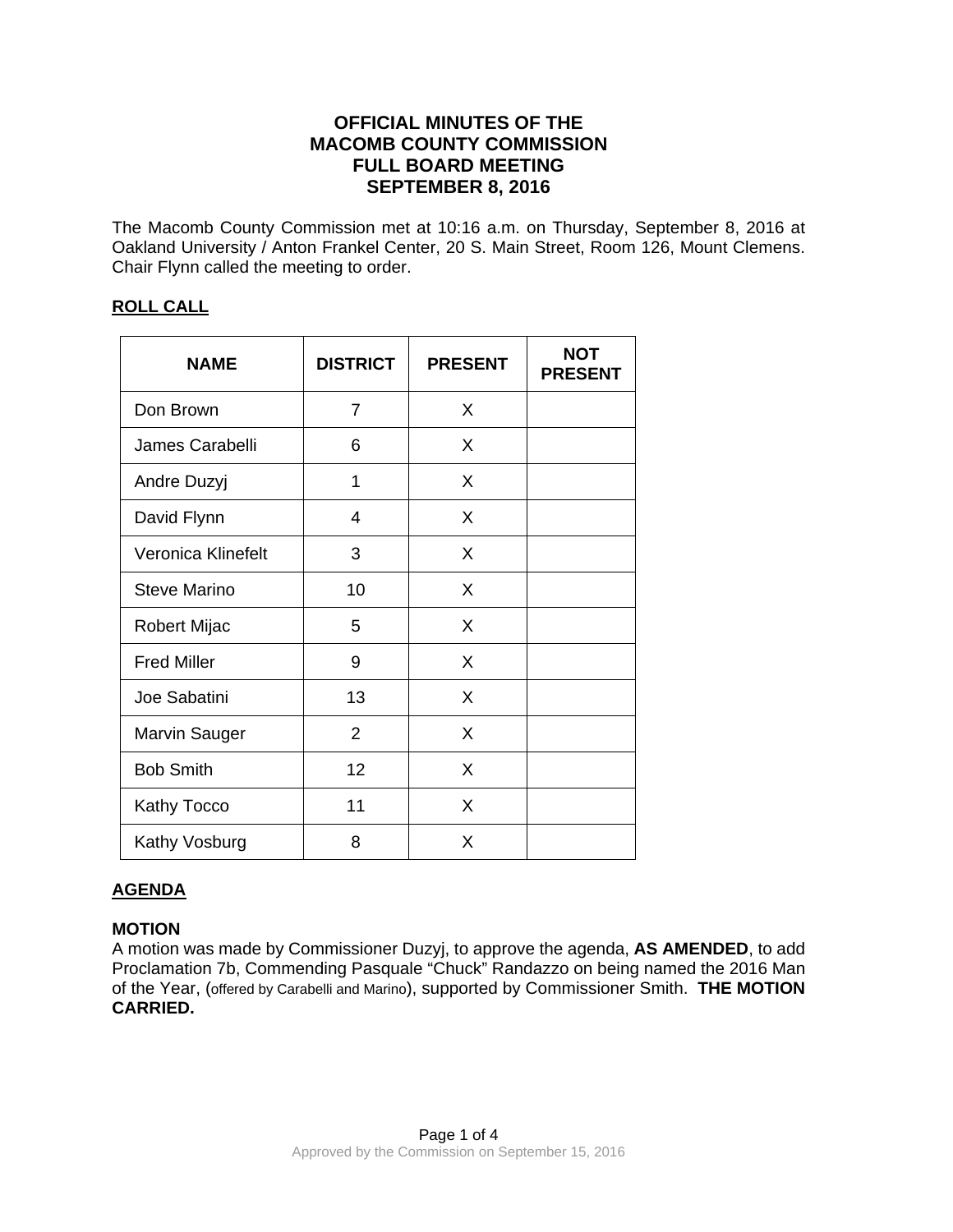# **OFFICIAL MINUTES OF THE MACOMB COUNTY COMMISSION FULL BOARD MEETING SEPTEMBER 8, 2016**

The Macomb County Commission met at 10:16 a.m. on Thursday, September 8, 2016 at Oakland University / Anton Frankel Center, 20 S. Main Street, Room 126, Mount Clemens. Chair Flynn called the meeting to order.

## **ROLL CALL**

| <b>NAME</b>          | <b>DISTRICT</b> | <b>PRESENT</b> | <b>NOT</b><br><b>PRESENT</b> |
|----------------------|-----------------|----------------|------------------------------|
| Don Brown            | 7               | X              |                              |
| James Carabelli      | 6               | X              |                              |
| Andre Duzyj          | 1               | X              |                              |
| David Flynn          | 4               | X              |                              |
| Veronica Klinefelt   | 3               | X              |                              |
| <b>Steve Marino</b>  | 10              | X              |                              |
| <b>Robert Mijac</b>  | 5               | X              |                              |
| <b>Fred Miller</b>   | 9               | X              |                              |
| Joe Sabatini         | 13              | X              |                              |
| <b>Marvin Sauger</b> | $\overline{2}$  | X              |                              |
| <b>Bob Smith</b>     | 12              | X              |                              |
| <b>Kathy Tocco</b>   | 11              | X              |                              |
| Kathy Vosburg        | 8               | X              |                              |

## **AGENDA**

## **MOTION**

A motion was made by Commissioner Duzyj, to approve the agenda, **AS AMENDED**, to add Proclamation 7b, Commending Pasquale "Chuck" Randazzo on being named the 2016 Man of the Year, (offered by Carabelli and Marino), supported by Commissioner Smith. **THE MOTION CARRIED.**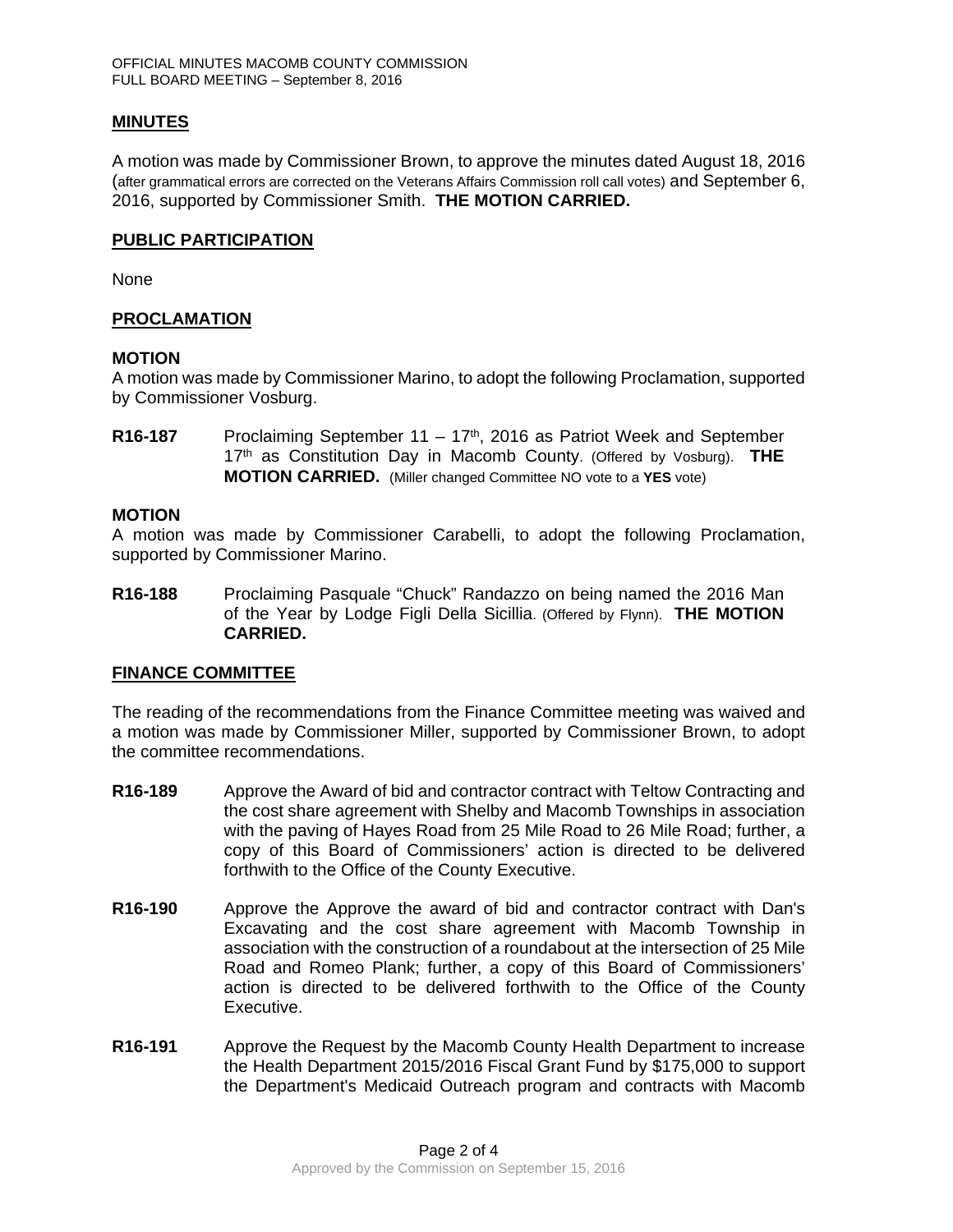#### **MINUTES**

A motion was made by Commissioner Brown, to approve the minutes dated August 18, 2016 (after grammatical errors are corrected on the Veterans Affairs Commission roll call votes) and September 6, 2016, supported by Commissioner Smith. **THE MOTION CARRIED.** 

#### **PUBLIC PARTICIPATION**

None

#### **PROCLAMATION**

#### **MOTION**

A motion was made by Commissioner Marino, to adopt the following Proclamation, supported by Commissioner Vosburg.

R16-187 Proclaiming September 11 – 17<sup>th</sup>, 2016 as Patriot Week and September 17th as Constitution Day in Macomb County. (Offered by Vosburg). **THE MOTION CARRIED.** (Miller changed Committee NO vote to a **YES** vote)

#### **MOTION**

A motion was made by Commissioner Carabelli, to adopt the following Proclamation, supported by Commissioner Marino.

**R16-188** Proclaiming Pasquale "Chuck" Randazzo on being named the 2016 Man of the Year by Lodge Figli Della Sicillia. (Offered by Flynn). **THE MOTION CARRIED.** 

#### **FINANCE COMMITTEE**

The reading of the recommendations from the Finance Committee meeting was waived and a motion was made by Commissioner Miller, supported by Commissioner Brown, to adopt the committee recommendations.

- **R16-189** Approve the Award of bid and contractor contract with Teltow Contracting and the cost share agreement with Shelby and Macomb Townships in association with the paving of Hayes Road from 25 Mile Road to 26 Mile Road; further, a copy of this Board of Commissioners' action is directed to be delivered forthwith to the Office of the County Executive.
- **R16-190** Approve the Approve the award of bid and contractor contract with Dan's Excavating and the cost share agreement with Macomb Township in association with the construction of a roundabout at the intersection of 25 Mile Road and Romeo Plank; further, a copy of this Board of Commissioners' action is directed to be delivered forthwith to the Office of the County Executive.
- **R16-191** Approve the Request by the Macomb County Health Department to increase the Health Department 2015/2016 Fiscal Grant Fund by \$175,000 to support the Department's Medicaid Outreach program and contracts with Macomb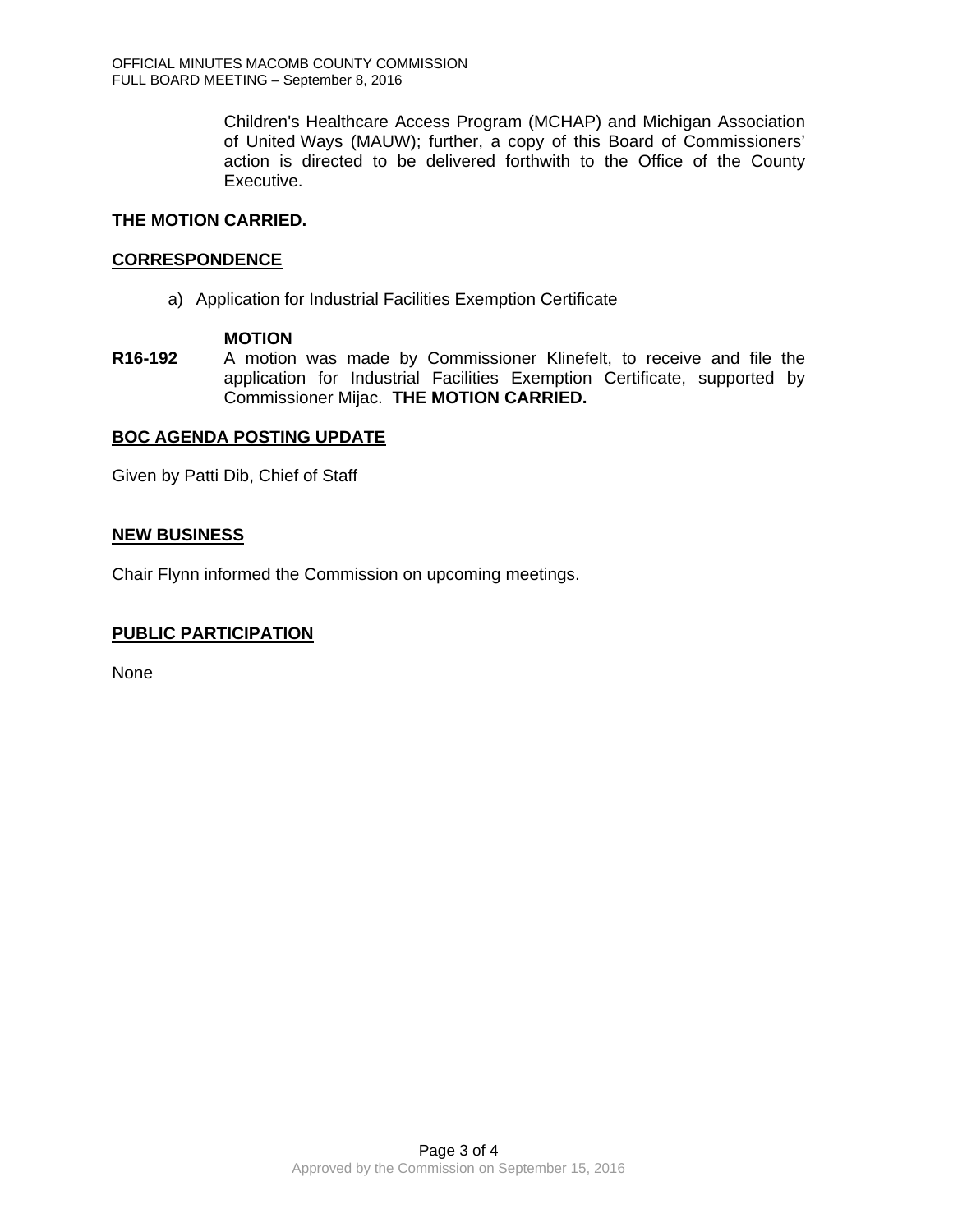Children's Healthcare Access Program (MCHAP) and Michigan Association of United Ways (MAUW); further, a copy of this Board of Commissioners' action is directed to be delivered forthwith to the Office of the County Executive.

#### **THE MOTION CARRIED.**

#### **CORRESPONDENCE**

a) Application for Industrial Facilities Exemption Certificate

#### **MOTION**

**R16-192** A motion was made by Commissioner Klinefelt, to receive and file the application for Industrial Facilities Exemption Certificate, supported by Commissioner Mijac. **THE MOTION CARRIED.** 

## **BOC AGENDA POSTING UPDATE**

Given by Patti Dib, Chief of Staff

#### **NEW BUSINESS**

Chair Flynn informed the Commission on upcoming meetings.

## **PUBLIC PARTICIPATION**

None